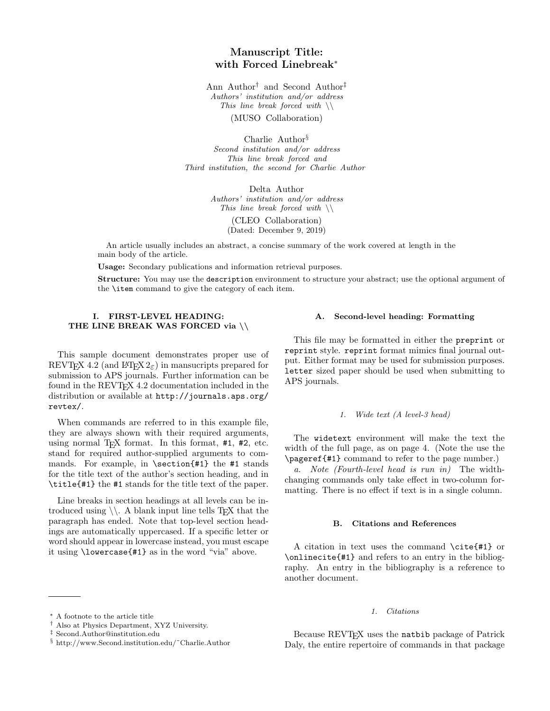# Manuscript Title: with Forced Linebreak<sup>∗</sup>

Ann Author† and Second Author‡ Authors' institution and/or address This line break forced with  $\setminus$ 

(MUSO Collaboration)

Charlie Author§ Second institution and/or address This line break forced and Third institution, the second for Charlie Author

> Delta Author Authors' institution and/or address This line break forced with  $\setminus$

> > (CLEO Collaboration) (Dated: December 9, 2019)

An article usually includes an abstract, a concise summary of the work covered at length in the main body of the article.

Usage: Secondary publications and information retrieval purposes.

Structure: You may use the description environment to structure your abstract; use the optional argument of the \item command to give the category of each item.

# I. FIRST-LEVEL HEADING: THE LINE BREAK WAS FORCED via \\

This sample document demonstrates proper use of REVTEX 4.2 (and LATEX  $2\varepsilon$ ) in mansucripts prepared for submission to APS journals. Further information can be found in the REVT<sub>F</sub>X 4.2 documentation included in the distribution or available at http://journals.aps.org/ revtex/.

When commands are referred to in this example file, they are always shown with their required arguments, using normal T<sub>E</sub>X format. In this format,  $#1$ ,  $#2$ , etc. stand for required author-supplied arguments to commands. For example, in \section{#1} the #1 stands for the title text of the author's section heading, and in \title{#1} the #1 stands for the title text of the paper.

Line breaks in section headings at all levels can be introduced using  $\setminus$ . A blank input line tells T<sub>E</sub>X that the paragraph has ended. Note that top-level section headings are automatically uppercased. If a specific letter or word should appear in lowercase instead, you must escape it using \lowercase{#1} as in the word "via" above.

# A. Second-level heading: Formatting

This file may be formatted in either the preprint or reprint style. reprint format mimics final journal output. Either format may be used for submission purposes. letter sized paper should be used when submitting to APS journals.

# 1. Wide text (A level-3 head)

The widetext environment will make the text the width of the full page, as on page 4. (Note the use the \pageref{#1} command to refer to the page number.)

a. Note (Fourth-level head is run in) The widthchanging commands only take effect in two-column formatting. There is no effect if text is in a single column.

### B. Citations and References

A citation in text uses the command \cite{#1} or \onlinecite{#1} and refers to an entry in the bibliography. An entry in the bibliography is a reference to another document.

## 1. Citations

Because REVT<sub>F</sub>X uses the natbib package of Patrick Daly, the entire repertoire of commands in that package

<sup>∗</sup> A footnote to the article title

<sup>†</sup> Also at Physics Department, XYZ University.

<sup>‡</sup> Second.Author@institution.edu

<sup>§</sup> http://www.Second.institution.edu/˜Charlie.Author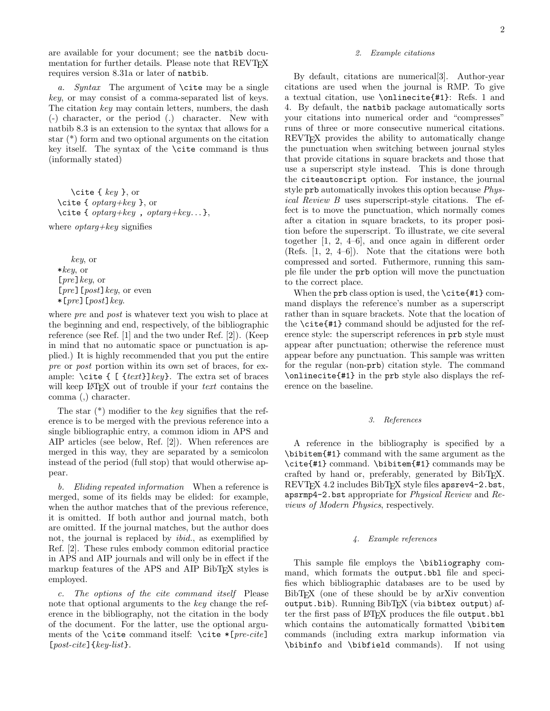are available for your document; see the natbib documentation for further details. Please note that REVT<sub>F</sub>X requires version 8.31a or later of natbib.

a. Syntax The argument of  $\text{cite}$  may be a single key, or may consist of a comma-separated list of keys. The citation key may contain letters, numbers, the dash (-) character, or the period (.) character. New with natbib 8.3 is an extension to the syntax that allows for a star (\*) form and two optional arguments on the citation key itself. The syntax of the \cite command is thus (informally stated)

\cite {  $key$  }, or \cite {  $optarg+key$  }, or \cite {  $optarg+key$  ,  $optarg+key...$ },

where  $optarg+key$  signifies

key, or  $*key$ , or  $[pre]$  key, or [ $pre$ ][ $post$ ]  $key$ , or even  $*[pre]$ [post] key.

where *pre* and *post* is whatever text you wish to place at the beginning and end, respectively, of the bibliographic reference (see Ref. [1] and the two under Ref. [2]). (Keep in mind that no automatic space or punctuation is applied.) It is highly recommended that you put the entire pre or post portion within its own set of braces, for example:  $\text{cite} \{ [ \text{text} \} \text{key} \}.$  The extra set of braces will keep  $\Delta T$ <sub>F</sub>X out of trouble if your *text* contains the comma (,) character.

The star  $(*)$  modifier to the key signifies that the reference is to be merged with the previous reference into a single bibliographic entry, a common idiom in APS and AIP articles (see below, Ref. [2]). When references are merged in this way, they are separated by a semicolon instead of the period (full stop) that would otherwise appear.

b. Eliding repeated information When a reference is merged, some of its fields may be elided: for example, when the author matches that of the previous reference, it is omitted. If both author and journal match, both are omitted. If the journal matches, but the author does not, the journal is replaced by ibid., as exemplified by Ref. [2]. These rules embody common editorial practice in APS and AIP journals and will only be in effect if the markup features of the APS and AIP BibT<sub>EX</sub> styles is employed.

c. The options of the cite command itself Please note that optional arguments to the key change the reference in the bibliography, not the citation in the body of the document. For the latter, use the optional arguments of the \cite command itself: \cite  $*[pre\text{-}clie]$  $[post\text{-}cite]$  {  $key\text{-}list$  }.

## 2. Example citations

By default, citations are numerical[3]. Author-year citations are used when the journal is RMP. To give a textual citation, use \onlinecite{#1}: Refs. 1 and 4. By default, the natbib package automatically sorts your citations into numerical order and "compresses" runs of three or more consecutive numerical citations. REVT<sub>E</sub>X provides the ability to automatically change the punctuation when switching between journal styles that provide citations in square brackets and those that use a superscript style instead. This is done through the citeautoscript option. For instance, the journal style prb automatically invokes this option because Physical Review B uses superscript-style citations. The effect is to move the punctuation, which normally comes after a citation in square brackets, to its proper position before the superscript. To illustrate, we cite several together [1, 2, 4–6], and once again in different order (Refs. [1, 2, 4–6]). Note that the citations were both compressed and sorted. Futhermore, running this sample file under the prb option will move the punctuation to the correct place.

When the prb class option is used, the  $\cite{#1} comm$ mand displays the reference's number as a superscript rather than in square brackets. Note that the location of the \cite{#1} command should be adjusted for the reference style: the superscript references in prb style must appear after punctuation; otherwise the reference must appear before any punctuation. This sample was written for the regular (non-prb) citation style. The command \onlinecite{#1} in the prb style also displays the reference on the baseline.

# 3. References

A reference in the bibliography is specified by a \bibitem{#1} command with the same argument as the \cite{#1} command. \bibitem{#1} commands may be crafted by hand or, preferably, generated by BibTEX. REVT<sub>F</sub>X 4.2 includes BibT<sub>F</sub>X style files apsrev4-2.bst, apsrmp4-2.bst appropriate for Physical Review and Reviews of Modern Physics, respectively.

### 4. Example references

This sample file employs the \bibliography command, which formats the output.bbl file and specifies which bibliographic databases are to be used by BibT<sub>EX</sub> (one of these should be by arXiv convention output.bib). Running  $BibTFX$  (via bibtex output) after the first pass of LAT<sub>EX</sub> produces the file output.bbl which contains the automatically formatted \bibitem commands (including extra markup information via \bibinfo and \bibfield commands). If not using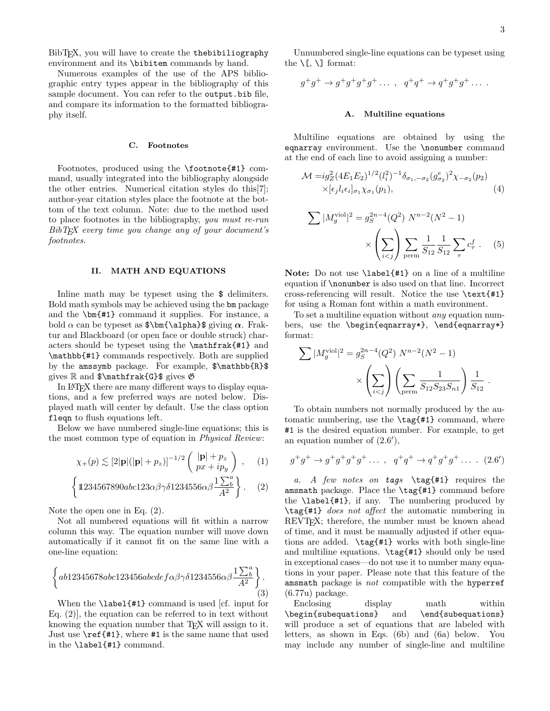BibTEX, you will have to create the thebibiliography environment and its \bibitem commands by hand.

Numerous examples of the use of the APS bibliographic entry types appear in the bibliography of this sample document. You can refer to the output.bib file, and compare its information to the formatted bibliography itself.

### C. Footnotes

Footnotes, produced using the \footnote{#1} command, usually integrated into the bibliography alongside the other entries. Numerical citation styles do this[7]; author-year citation styles place the footnote at the bottom of the text column. Note: due to the method used to place footnotes in the bibliography, you must re-run  $BibT$ <sub>F</sub>X every time you change any of your document's footnotes.

## II. MATH AND EQUATIONS

In line math may be typeset using the  $\frac{1}{2}$  delimiters. Bold math symbols may be achieved using the bm package and the \bm{#1} command it supplies. For instance, a bold  $\alpha$  can be typeset as  $\bm{\lambda}$  alpha}\$ giving  $\alpha$ . Fraktur and Blackboard (or open face or double struck) characters should be typeset using the \mathfrak{#1} and \mathbb{#1} commands respectively. Both are supplied by the amssymb package. For example, \$\mathbb{R}\$ gives  $\mathbb{R}$  and  $\mathbf{G}\$  gives  $\mathfrak{G}$ 

In LAT<sub>EX</sub> there are many different ways to display equations, and a few preferred ways are noted below. Displayed math will center by default. Use the class option fleqn to flush equations left.

Below we have numbered single-line equations; this is the most common type of equation in Physical Review:

$$
\chi_{+}(p) \lesssim [2|\mathbf{p}|(|\mathbf{p}| + p_z)]^{-1/2} \left( \frac{|\mathbf{p}| + p_z}{px + ip_y} \right), \quad (1)
$$

$$
\left\{ 1234567890abc123\alpha\beta\gamma\delta1234556\alpha\beta \frac{1\sum_{b}^{a}}{A^2} \right\}. \quad (2)
$$

Note the open one in Eq. (2).

Not all numbered equations will fit within a narrow column this way. The equation number will move down automatically if it cannot fit on the same line with a one-line equation:

$$
\left\{ab12345678abc123456abcdefa\beta\gamma\delta1234556\alpha\beta\frac{1\sum_{b}^{a}}{A^{2}}\right\}.\tag{3}
$$

When the **\label**{#1} command is used [cf. input for Eq. (2)], the equation can be referred to in text without knowing the equation number that T<sub>EX</sub> will assign to it. Just use \ref{#1}, where #1 is the same name that used in the \label{#1} command.

Unnumbered single-line equations can be typeset using the  $\setminus$ [,  $\setminus$ ] format:

$$
g^+g^+ \to g^+g^+g^+g^+ \ldots , \quad q^+q^+ \to q^+g^+g^+ \ldots .
$$

## A. Multiline equations

Multiline equations are obtained by using the eqnarray environment. Use the \nonumber command at the end of each line to avoid assigning a number:

$$
\mathcal{M} = ig_Z^2 (4E_1 E_2)^{1/2} (l_i^2)^{-1} \delta_{\sigma_1, -\sigma_2} (g_{\sigma_2}^e)^2 \chi_{-\sigma_2}(p_2) \times [\epsilon_j l_i \epsilon_i]_{\sigma_1} \chi_{\sigma_1}(p_1), \tag{4}
$$

$$
\sum |M_g^{\text{viol}}|^2 = g_S^{2n-4}(Q^2) \ N^{n-2}(N^2 - 1)
$$

$$
\times \left(\sum_{i < j} \right) \sum_{\text{perm}} \frac{1}{S_{12}} \sum_{\tau} c_{\tau}^f. \tag{5}
$$

Note: Do not use  $\label{eq:1}$  Mote: Do not use  $\lambda$  and  $\lambda$  ine of a multiline equation if \nonumber is also used on that line. Incorrect cross-referencing will result. Notice the use \text{#1} for using a Roman font within a math environment.

To set a multiline equation without any equation numbers, use the \begin{eqnarray\*}, \end{eqnarray\*} format:

$$
\sum |M_g^{\text{viol}}|^2 = g_S^{2n-4}(Q^2) N^{n-2}(N^2 - 1)
$$

$$
\times \left(\sum_{i < j} \right) \left(\sum_{\text{perm}} \frac{1}{S_{12} S_{23} S_{n1}}\right) \frac{1}{S_{12}}.
$$

To obtain numbers not normally produced by the automatic numbering, use the  $\tag{#1} command, where$ #1 is the desired equation number. For example, to get an equation number of  $(2.6')$ ,

$$
g^+g^+ \to g^+g^+g^+g^+ \dots
$$
,  $q^+q^+ \to q^+g^+g^+ \dots$ . (2.6')

a. A few notes on tags  $\tag{41}$  requires the amsmath package. Place the \tag{#1} command before the \label{#1}, if any. The numbering produced by \tag{#1} does not affect the automatic numbering in REVTEX; therefore, the number must be known ahead of time, and it must be manually adjusted if other equations are added. \tag{#1} works with both single-line and multiline equations. \tag{#1} should only be used in exceptional cases—do not use it to number many equations in your paper. Please note that this feature of the amsmath package is not compatible with the hyperref (6.77u) package.

Enclosing display math within \begin{subequations} and \end{subequations} will produce a set of equations that are labeled with letters, as shown in Eqs. (6b) and (6a) below. You may include any number of single-line and multiline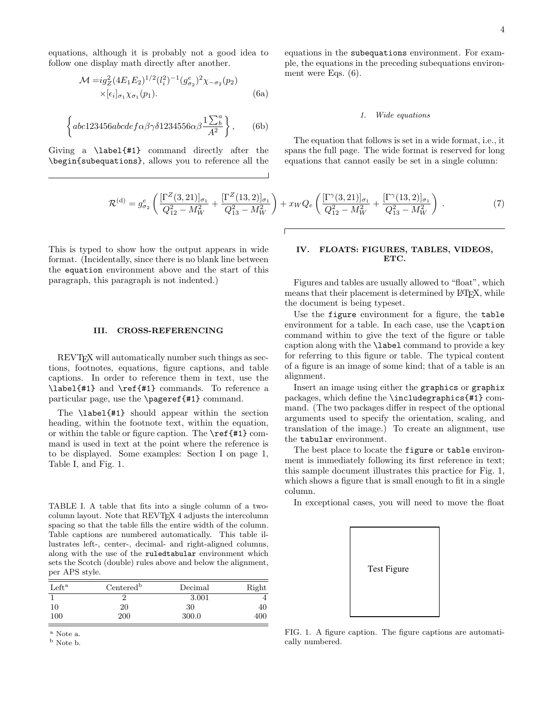equations, although it is probably not a good idea to follow one display math directly after another.

$$
\mathcal{M} = ig_Z^2 (4E_1 E_2)^{1/2} (l_i^2)^{-1} (g_{\sigma_2}^e)^2 \chi_{-\sigma_2}(p_2)
$$
  
×[ $\epsilon_i$ ] <sub>$\sigma_1$</sub>   $\chi_{\sigma_1}(p_1)$ . (6a)

$$
\left\{ abc123456abcdef \alpha \beta \gamma \delta 1234556\alpha \beta \frac{1\sum_{b}^{a}}{A^{2}} \right\},\qquad(6b)
$$

Giving a \label{#1} command directly after the \begin{subequations}, allows you to reference all the

equations in the subequations environment. For example, the equations in the preceding subequations environment were Eqs. (6).

#### 1. Wide equations

The equation that follows is set in a wide format, i.e., it spans the full page. The wide format is reserved for long equations that cannot easily be set in a single column:

$$
\mathcal{R}^{(d)} = g_{\sigma_2}^e \left( \frac{[\Gamma^Z(3,21)]_{\sigma_1}}{Q_{12}^2 - M_W^2} + \frac{[\Gamma^Z(13,2)]_{\sigma_1}}{Q_{13}^2 - M_W^2} \right) + x_W Q_e \left( \frac{[\Gamma^\gamma(3,21)]_{\sigma_1}}{Q_{12}^2 - M_W^2} + \frac{[\Gamma^\gamma(13,2)]_{\sigma_1}}{Q_{13}^2 - M_W^2} \right) \,. \tag{7}
$$

This is typed to show how the output appears in wide format. (Incidentally, since there is no blank line between the equation environment above and the start of this paragraph, this paragraph is not indented.)

### III. CROSS-REFERENCING

REVT<sub>EX</sub> will automatically number such things as sections, footnotes, equations, figure captions, and table captions. In order to reference them in text, use the \label{#1} and \ref{#1} commands. To reference a particular page, use the \pageref{#1} command.

The \label{#1} should appear within the section heading, within the footnote text, within the equation, or within the table or figure caption. The \ref{#1} command is used in text at the point where the reference is to be displayed. Some examples: Section I on page 1, Table I, and Fig. 1.

TABLE I. A table that fits into a single column of a twocolumn layout. Note that REVTEX 4 adjusts the intercolumn spacing so that the table fills the entire width of the column. Table captions are numbered automatically. This table illustrates left-, center-, decimal- and right-aligned columns, along with the use of the ruledtabular environment which sets the Scotch (double) rules above and below the alignment, per APS style.

| Left <sup>a</sup> | $Centered^b$ | Decimal | Right |
|-------------------|--------------|---------|-------|
|                   |              | 3.001   |       |
| 10                | 20           | 30      | 40    |
| 100               | 200          | 300.0   | 400   |

<sup>a</sup> Note a.

 $^{\rm b}$  Note b.

# IV. FLOATS: FIGURES, TABLES, VIDEOS, ETC.

Figures and tables are usually allowed to "float", which means that their placement is determined by L<sup>AT</sup>EX, while the document is being typeset.

Use the figure environment for a figure, the table environment for a table. In each case, use the \caption command within to give the text of the figure or table caption along with the \label command to provide a key for referring to this figure or table. The typical content of a figure is an image of some kind; that of a table is an alignment.

Insert an image using either the graphics or graphix packages, which define the \includegraphics{#1} command. (The two packages differ in respect of the optional arguments used to specify the orientation, scaling, and translation of the image.) To create an alignment, use the tabular environment.

The best place to locate the figure or table environment is immediately following its first reference in text; this sample document illustrates this practice for Fig. 1, which shows a figure that is small enough to fit in a single column.

In exceptional cases, you will need to move the float



FIG. 1. A figure caption. The figure captions are automatically numbered.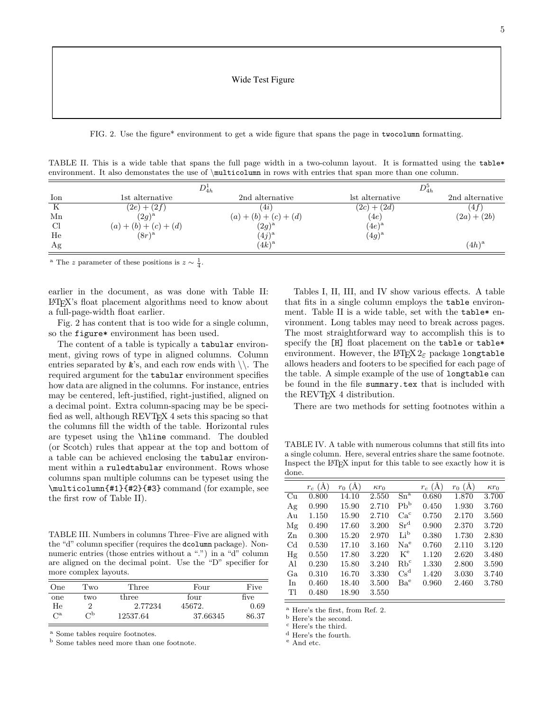FIG. 2. Use the figure\* environment to get a wide figure that spans the page in twocolumn formatting.

TABLE II. This is a wide table that spans the full page width in a two-column layout. It is formatted using the table\* environment. It also demonstates the use of \multicolumn in rows with entries that span more than one column.

|     | $D_{4h}^1$              |                         | $D_{4h}^5$      |                 |  |
|-----|-------------------------|-------------------------|-----------------|-----------------|--|
| Ion | 1st alternative         | 2nd alternative         | lst alternative | 2nd alternative |  |
| К   | $(2e) + (2f)$           | (4i)                    | $(2c) + (2d)$   | (4f)            |  |
| Mn  | $(2q)^a$                | $(a) + (b) + (c) + (d)$ | (4e)            | $(2a) + (2b)$   |  |
| Cl  | $(a) + (b) + (c) + (d)$ | $(2g)^{\rm a}$          | $(4e)^{\rm a}$  |                 |  |
| He  | $(8r)^a$                | $(4j)^{a}$              | $(4g)^{\rm a}$  |                 |  |
| Ag  |                         | $(4k)^a$                |                 | $(4h)^a$        |  |

<sup>a</sup> The z parameter of these positions is  $z \sim \frac{1}{4}$ .

earlier in the document, as was done with Table II: LATEX's float placement algorithms need to know about a full-page-width float earlier.

Fig. 2 has content that is too wide for a single column, so the figure\* environment has been used.

The content of a table is typically a tabular environment, giving rows of type in aligned columns. Column entries separated by  $\&$ 's, and each row ends with  $\setminus\$ . The required argument for the tabular environment specifies how data are aligned in the columns. For instance, entries may be centered, left-justified, right-justified, aligned on a decimal point. Extra column-spacing may be be specified as well, although REVT<sub>F</sub>X 4 sets this spacing so that the columns fill the width of the table. Horizontal rules are typeset using the \hline command. The doubled (or Scotch) rules that appear at the top and bottom of a table can be achieved enclosing the tabular environment within a ruledtabular environment. Rows whose columns span multiple columns can be typeset using the \multicolumn{#1}{#2}{#3} command (for example, see the first row of Table II).

TABLE III. Numbers in columns Three–Five are aligned with the "d" column specifier (requires the dcolumn package). Nonnumeric entries (those entries without a ".") in a "d" column are aligned on the decimal point. Use the "D" specifier for more complex layouts.

| One         | Two              | Three    | Four     | Five  |
|-------------|------------------|----------|----------|-------|
| one         | two              | three    | four     | five  |
| He          |                  | 2.77234  | 45672.   | 0.69  |
| $C^{\rm a}$ | $_{\mathrm{Up}}$ | 12537.64 | 37.66345 | 86.37 |

<sup>a</sup> Some tables require footnotes.

<sup>b</sup> Some tables need more than one footnote.

Tables I, II, III, and IV show various effects. A table that fits in a single column employs the table environment. Table II is a wide table, set with the table\* environment. Long tables may need to break across pages. The most straightforward way to accomplish this is to specify the [H] float placement on the table or table\* environment. However, the LAT<sub>E</sub>X  $2\varepsilon$  package longtable allows headers and footers to be specified for each page of the table. A simple example of the use of longtable can be found in the file summary.tex that is included with the REVT<sub>E</sub>X 4 distribution.

There are two methods for setting footnotes within a

TABLE IV. A table with numerous columns that still fits into a single column. Here, several entries share the same footnote. Inspect the LATEX input for this table to see exactly how it is done.

|             | $r_c(A)$ | $r_0$ (Å) | $\kappa r_0$ |                 | $r_c(A)$ | $r_0$ (Å) | $\kappa r_0$ |
|-------------|----------|-----------|--------------|-----------------|----------|-----------|--------------|
| Cu          | 0.800    | 14.10     | 2.550        | $Sn^{a}$        | 0.680    | 1.870     | 3.700        |
| Ag          | 0.990    | 15.90     | 2.710        | Pb <sup>b</sup> | 0.450    | 1.930     | 3.760        |
| Au          | 1.150    | 15.90     | 2.710        | Ca <sup>c</sup> | 0.750    | 2.170     | 3.560        |
| Mg          | 0.490    | 17.60     | 3.200        | Sr <sup>d</sup> | 0.900    | 2.370     | 3.720        |
| Zn          | 0.300    | 15.20     | 2.970        | Li <sup>b</sup> | 0.380    | 1.730     | 2.830        |
| $_{\rm Cd}$ | 0.530    | 17.10     | 3.160        | Na <sup>e</sup> | 0.760    | 2.110     | 3.120        |
| Hg          | 0.550    | 17.80     | 3.220        | $K^e$           | 1.120    | 2.620     | 3.480        |
| Al          | 0.230    | 15.80     | 3.240        | $Rb^c$          | 1.330    | 2.800     | 3.590        |
| Ga          | 0.310    | 16.70     | 3.330        | $Cs^d$          | 1.420    | 3.030     | 3.740        |
| In          | 0.460    | 18.40     | 3.500        | Ba <sup>e</sup> | 0.960    | 2.460     | 3.780        |
| Tl          | 0.480    | 18.90     | 3.550        |                 |          |           |              |
|             |          |           |              |                 |          |           |              |

<sup>a</sup> Here's the first, from Ref. 2.

<sup>b</sup> Here's the second.

<sup>c</sup> Here's the third.

<sup>d</sup> Here's the fourth.

<sup>e</sup> And etc.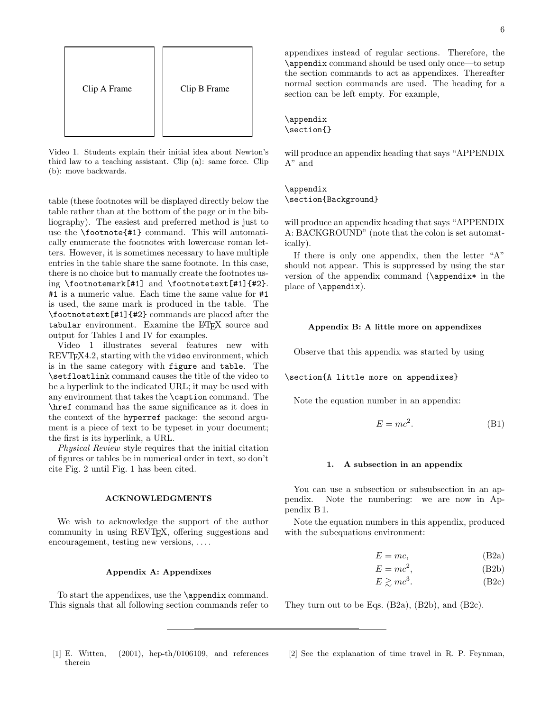

Video 1. Students explain their initial idea about Newton's third law to a teaching assistant. Clip (a): same force. Clip (b): move backwards.

table (these footnotes will be displayed directly below the table rather than at the bottom of the page or in the bibliography). The easiest and preferred method is just to use the \footnote{#1} command. This will automatically enumerate the footnotes with lowercase roman letters. However, it is sometimes necessary to have multiple entries in the table share the same footnote. In this case, there is no choice but to manually create the footnotes using \footnotemark[#1] and \footnotetext[#1]{#2}. #1 is a numeric value. Each time the same value for #1 is used, the same mark is produced in the table. The \footnotetext[#1]{#2} commands are placed after the tabular environment. Examine the LATEX source and output for Tables I and IV for examples.

Video 1 illustrates several features new with REVT<sub>F</sub>X4.2, starting with the video environment, which is in the same category with figure and table. The \setfloatlink command causes the title of the video to be a hyperlink to the indicated URL; it may be used with any environment that takes the \caption command. The \href command has the same significance as it does in the context of the hyperref package: the second argument is a piece of text to be typeset in your document; the first is its hyperlink, a URL.

Physical Review style requires that the initial citation of figures or tables be in numerical order in text, so don't cite Fig. 2 until Fig. 1 has been cited.

### ACKNOWLEDGMENTS

We wish to acknowledge the support of the author community in using REVTEX, offering suggestions and encouragement, testing new versions, ....

### Appendix A: Appendixes

To start the appendixes, use the \appendix command. This signals that all following section commands refer to appendixes instead of regular sections. Therefore, the \appendix command should be used only once—to setup the section commands to act as appendixes. Thereafter normal section commands are used. The heading for a section can be left empty. For example,

### \appendix \section{}

will produce an appendix heading that says "APPENDIX A" and

# \appendix

\section{Background}

will produce an appendix heading that says "APPENDIX A: BACKGROUND" (note that the colon is set automatically).

If there is only one appendix, then the letter "A" should not appear. This is suppressed by using the star version of the appendix command (\appendix\* in the place of \appendix).

## Appendix B: A little more on appendixes

Observe that this appendix was started by using

# \section{A little more on appendixes}

Note the equation number in an appendix:

$$
E = mc^2.
$$
 (B1)

### 1. A subsection in an appendix

You can use a subsection or subsubsection in an appendix. Note the numbering: we are now in Appendix B 1.

Note the equation numbers in this appendix, produced with the subequations environment:

$$
E = mc,\t\t(B2a)
$$

$$
E = mc^2,\tag{B2b}
$$

$$
E \gtrsim mc^3. \tag{B2c}
$$

They turn out to be Eqs. (B2a), (B2b), and (B2c).

- [1] E. Witten, (2001), hep-th/0106109, and references therein
- [2] See the explanation of time travel in R. P. Feynman,